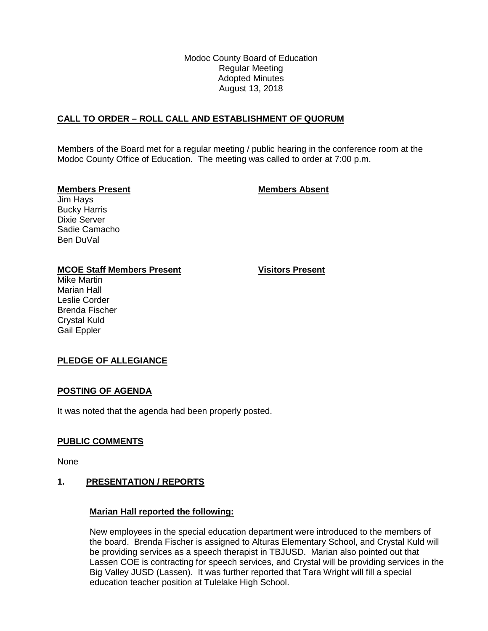Modoc County Board of Education Regular Meeting Adopted Minutes August 13, 2018

## **CALL TO ORDER – ROLL CALL AND ESTABLISHMENT OF QUORUM**

Members of the Board met for a regular meeting / public hearing in the conference room at the Modoc County Office of Education. The meeting was called to order at 7:00 p.m.

#### **Members Present Members Absent**

Jim Hays Bucky Harris Dixie Server Sadie Camacho Ben DuVal

#### **MCOE Staff Members Present Visitors Present**

Mike Martin Marian Hall Leslie Corder Brenda Fischer Crystal Kuld Gail Eppler

## **PLEDGE OF ALLEGIANCE**

#### **POSTING OF AGENDA**

It was noted that the agenda had been properly posted.

#### **PUBLIC COMMENTS**

None

## **1. PRESENTATION / REPORTS**

#### **Marian Hall reported the following:**

New employees in the special education department were introduced to the members of the board. Brenda Fischer is assigned to Alturas Elementary School, and Crystal Kuld will be providing services as a speech therapist in TBJUSD. Marian also pointed out that Lassen COE is contracting for speech services, and Crystal will be providing services in the Big Valley JUSD (Lassen). It was further reported that Tara Wright will fill a special education teacher position at Tulelake High School.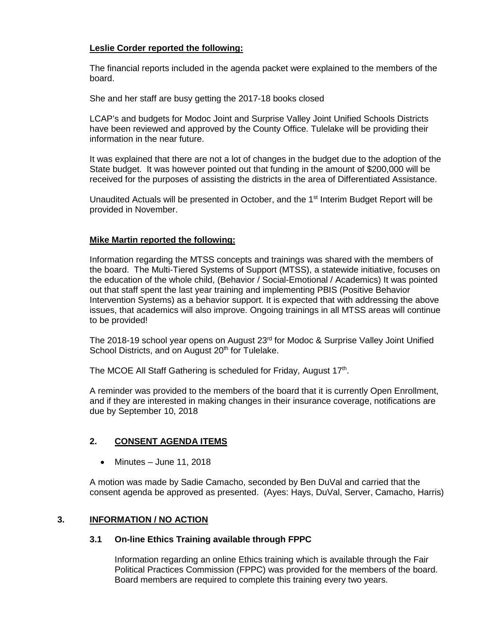# **Leslie Corder reported the following:**

The financial reports included in the agenda packet were explained to the members of the board.

She and her staff are busy getting the 2017-18 books closed

LCAP's and budgets for Modoc Joint and Surprise Valley Joint Unified Schools Districts have been reviewed and approved by the County Office. Tulelake will be providing their information in the near future.

It was explained that there are not a lot of changes in the budget due to the adoption of the State budget. It was however pointed out that funding in the amount of \$200,000 will be received for the purposes of assisting the districts in the area of Differentiated Assistance.

Unaudited Actuals will be presented in October, and the 1<sup>st</sup> Interim Budget Report will be provided in November.

# **Mike Martin reported the following:**

Information regarding the MTSS concepts and trainings was shared with the members of the board. The Multi-Tiered Systems of Support (MTSS), a statewide initiative, focuses on the education of the whole child, (Behavior / Social-Emotional / Academics) It was pointed out that staff spent the last year training and implementing PBIS (Positive Behavior Intervention Systems) as a behavior support. It is expected that with addressing the above issues, that academics will also improve. Ongoing trainings in all MTSS areas will continue to be provided!

The 2018-19 school year opens on August  $23<sup>rd</sup>$  for Modoc & Surprise Valley Joint Unified School Districts, and on August 20<sup>th</sup> for Tulelake.

The MCOE All Staff Gathering is scheduled for Friday, August 17th.

A reminder was provided to the members of the board that it is currently Open Enrollment, and if they are interested in making changes in their insurance coverage, notifications are due by September 10, 2018

## **2. CONSENT AGENDA ITEMS**

• Minutes – June 11, 2018

A motion was made by Sadie Camacho, seconded by Ben DuVal and carried that the consent agenda be approved as presented. (Ayes: Hays, DuVal, Server, Camacho, Harris)

## **3. INFORMATION / NO ACTION**

## **3.1 On-line Ethics Training available through FPPC**

Information regarding an online Ethics training which is available through the Fair Political Practices Commission (FPPC) was provided for the members of the board. Board members are required to complete this training every two years.